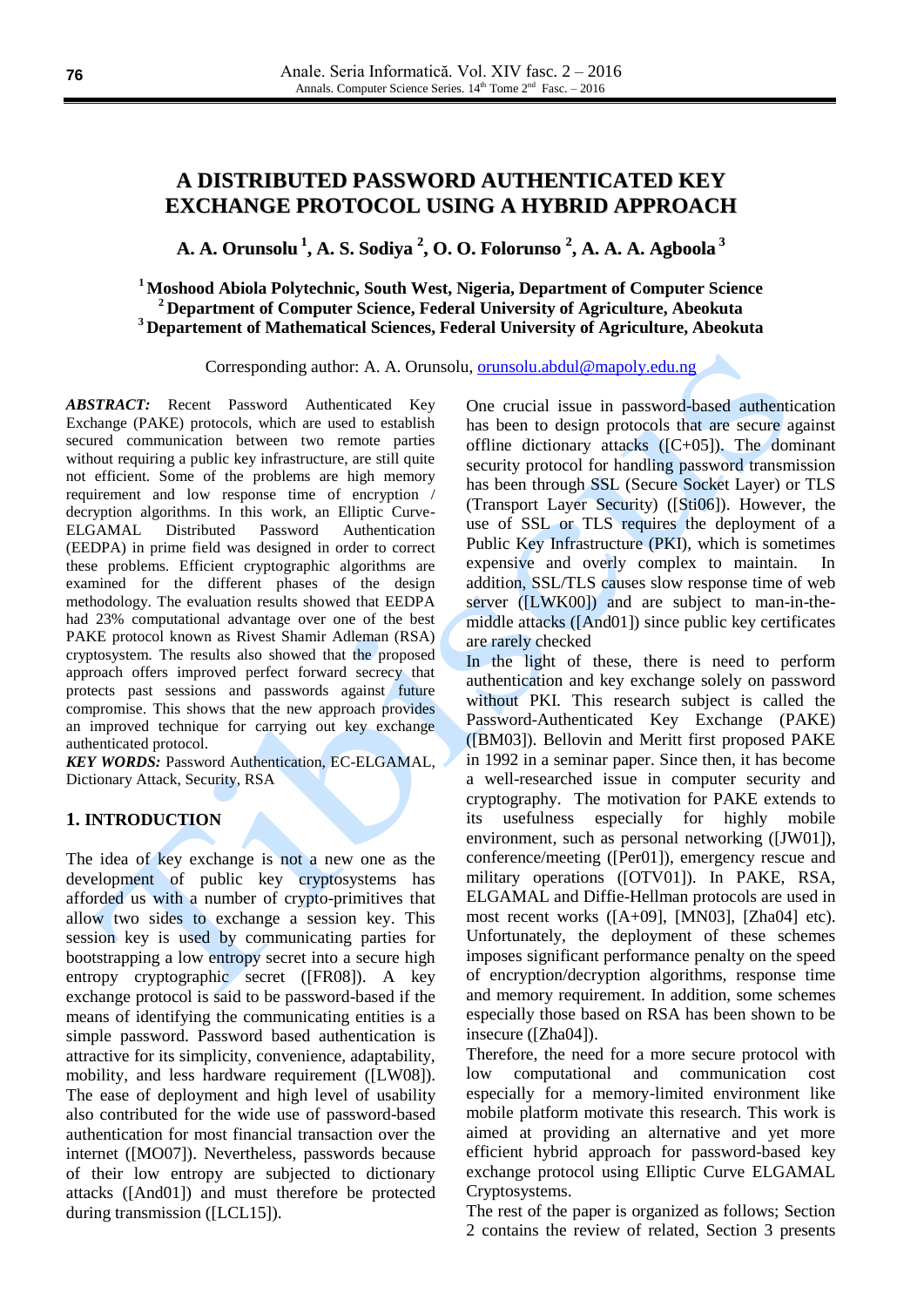# **A DISTRIBUTED PASSWORD AUTHENTICATED KEY EXCHANGE PROTOCOL USING A HYBRID APPROACH**

**A. A. Orunsolu 1 , A. S. Sodiya 2 , O. O. Folorunso 2 , A. A. A. Agboola 3**

**<sup>1</sup> Moshood Abiola Polytechnic, South West, Nigeria, Department of Computer Science <sup>2</sup> Department of Computer Science, Federal University of Agriculture, Abeokuta <sup>3</sup> Departement of Mathematical Sciences, Federal University of Agriculture, Abeokuta**

Corresponding author: A. A. Orunsolu, [orunsolu.abdul@mapoly.edu.ng](mailto:orunsolu.abdul@mapoly.edu.ng)

*ABSTRACT:* Recent Password Authenticated Key Exchange (PAKE) protocols, which are used to establish secured communication between two remote parties without requiring a public key infrastructure, are still quite not efficient. Some of the problems are high memory requirement and low response time of encryption / decryption algorithms. In this work, an Elliptic Curve-ELGAMAL Distributed Password Authentication (EEDPA) in prime field was designed in order to correct these problems. Efficient cryptographic algorithms are examined for the different phases of the design methodology. The evaluation results showed that EEDPA had 23% computational advantage over one of the best PAKE protocol known as Rivest Shamir Adleman (RSA) cryptosystem. The results also showed that the proposed approach offers improved perfect forward secrecy that protects past sessions and passwords against future compromise. This shows that the new approach provides an improved technique for carrying out key exchange authenticated protocol.

*KEY WORDS:* Password Authentication, EC-ELGAMAL, Dictionary Attack, Security, RSA

# **1. INTRODUCTION**

The idea of key exchange is not a new one as the development of public key cryptosystems has afforded us with a number of crypto-primitives that allow two sides to exchange a session key. This session key is used by communicating parties for bootstrapping a low entropy secret into a secure high entropy cryptographic secret ([FR08]). A key exchange protocol is said to be password-based if the means of identifying the communicating entities is a simple password. Password based authentication is attractive for its simplicity, convenience, adaptability, mobility, and less hardware requirement ([LW08]). The ease of deployment and high level of usability also contributed for the wide use of password-based authentication for most financial transaction over the internet ([MO07]). Nevertheless, passwords because of their low entropy are subjected to dictionary attacks ([And01]) and must therefore be protected during transmission ([LCL15]).

One crucial issue in password-based authentication has been to design protocols that are secure against offline dictionary attacks ([C+05]). The dominant security protocol for handling password transmission has been through SSL (Secure Socket Layer) or TLS (Transport Layer Security) ([Sti06]). However, the use of SSL or TLS requires the deployment of a Public Key Infrastructure (PKI), which is sometimes expensive and overly complex to maintain. In addition, SSL/TLS causes slow response time of web server ([LWK00]) and are subject to man-in-themiddle attacks ([And01]) since public key certificates are rarely checked

In the light of these, there is need to perform authentication and key exchange solely on password without PKI. This research subject is called the Password-Authenticated Key Exchange (PAKE) ([BM03]). Bellovin and Meritt first proposed PAKE in 1992 in a seminar paper. Since then, it has become a well-researched issue in computer security and cryptography. The motivation for PAKE extends to its usefulness especially for highly mobile environment, such as personal networking ([JW01]), conference/meeting ([Per01]), emergency rescue and military operations ([OTV01]). In PAKE, RSA, ELGAMAL and Diffie-Hellman protocols are used in most recent works ([A+09], [MN03], [Zha04] etc). Unfortunately, the deployment of these schemes imposes significant performance penalty on the speed of encryption/decryption algorithms, response time and memory requirement. In addition, some schemes especially those based on RSA has been shown to be insecure ([Zha04]).

Therefore, the need for a more secure protocol with low computational and communication cost especially for a memory-limited environment like mobile platform motivate this research. This work is aimed at providing an alternative and yet more efficient hybrid approach for password-based key exchange protocol using Elliptic Curve ELGAMAL Cryptosystems.

The rest of the paper is organized as follows; Section 2 contains the review of related, Section 3 presents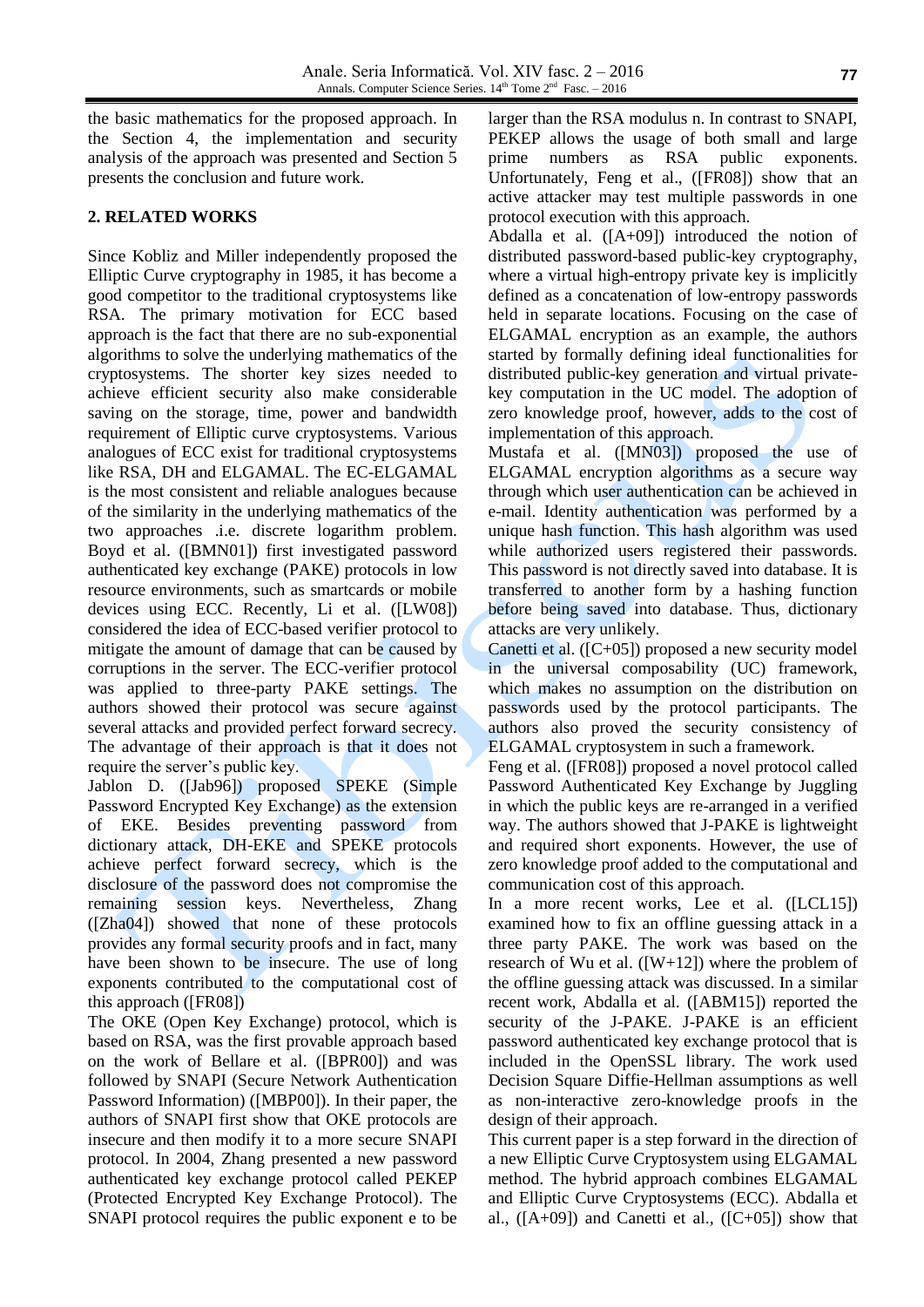the basic mathematics for the proposed approach. In the Section 4, the implementation and security analysis of the approach was presented and Section 5 presents the conclusion and future work.

# **2. RELATED WORKS**

Since Kobliz and Miller independently proposed the Elliptic Curve cryptography in 1985, it has become a good competitor to the traditional cryptosystems like RSA. The primary motivation for ECC based approach is the fact that there are no sub-exponential algorithms to solve the underlying mathematics of the cryptosystems. The shorter key sizes needed to achieve efficient security also make considerable saving on the storage, time, power and bandwidth requirement of Elliptic curve cryptosystems. Various analogues of ECC exist for traditional cryptosystems like RSA, DH and ELGAMAL. The EC-ELGAMAL is the most consistent and reliable analogues because of the similarity in the underlying mathematics of the two approaches .i.e. discrete logarithm problem. Boyd et al. ([BMN01]) first investigated password authenticated key exchange (PAKE) protocols in low resource environments, such as smartcards or mobile devices using ECC. Recently, Li et al. ([LW08]) considered the idea of ECC-based verifier protocol to mitigate the amount of damage that can be caused by corruptions in the server. The ECC-verifier protocol was applied to three-party PAKE settings. The authors showed their protocol was secure against several attacks and provided perfect forward secrecy. The advantage of their approach is that it does not require the server's public key.

Jablon D. ([Jab96]) proposed SPEKE (Simple Password Encrypted Key Exchange) as the extension of EKE. Besides preventing password from dictionary attack, DH-EKE and SPEKE protocols achieve perfect forward secrecy, which is the disclosure of the password does not compromise the remaining session keys. Nevertheless, Zhang ([Zha04]) showed that none of these protocols provides any formal security proofs and in fact, many have been shown to be insecure. The use of long exponents contributed to the computational cost of this approach ([FR08])

The OKE (Open Key Exchange) protocol, which is based on RSA, was the first provable approach based on the work of Bellare et al. ([BPR00]) and was followed by SNAPI (Secure Network Authentication Password Information) ([MBP00]). In their paper, the authors of SNAPI first show that OKE protocols are insecure and then modify it to a more secure SNAPI protocol. In 2004, Zhang presented a new password authenticated key exchange protocol called PEKEP (Protected Encrypted Key Exchange Protocol). The SNAPI protocol requires the public exponent e to be larger than the RSA modulus n. In contrast to SNAPI, PEKEP allows the usage of both small and large prime numbers as RSA public exponents. Unfortunately, Feng et al., ([FR08]) show that an active attacker may test multiple passwords in one protocol execution with this approach.

Abdalla et al. ([A+09]) introduced the notion of distributed password-based public-key cryptography, where a virtual high-entropy private key is implicitly defined as a concatenation of low-entropy passwords held in separate locations. Focusing on the case of ELGAMAL encryption as an example, the authors started by formally defining ideal functionalities for distributed public-key generation and virtual privatekey computation in the UC model. The adoption of zero knowledge proof, however, adds to the cost of implementation of this approach.

Mustafa et al. ([MN03]) proposed the use of ELGAMAL encryption algorithms as a secure way through which user authentication can be achieved in e-mail. Identity authentication was performed by a unique hash function. This hash algorithm was used while authorized users registered their passwords. This password is not directly saved into database. It is transferred to another form by a hashing function before being saved into database. Thus, dictionary attacks are very unlikely.

Canetti et al. ([C+05]) proposed a new security model in the universal composability (UC) framework, which makes no assumption on the distribution on passwords used by the protocol participants. The authors also proved the security consistency of ELGAMAL cryptosystem in such a framework.

Feng et al. ([FR08]) proposed a novel protocol called Password Authenticated Key Exchange by Juggling in which the public keys are re-arranged in a verified way. The authors showed that J-PAKE is lightweight and required short exponents. However, the use of zero knowledge proof added to the computational and communication cost of this approach.

In a more recent works, Lee et al. ([LCL15]) examined how to fix an offline guessing attack in a three party PAKE. The work was based on the research of Wu et al.  $([W+12])$  where the problem of the offline guessing attack was discussed. In a similar recent work, Abdalla et al. ([ABM15]) reported the security of the J-PAKE. J-PAKE is an efficient password authenticated key exchange protocol that is included in the OpenSSL library. The work used Decision Square Diffie-Hellman assumptions as well as non-interactive zero-knowledge proofs in the design of their approach.

This current paper is a step forward in the direction of a new Elliptic Curve Cryptosystem using ELGAMAL method. The hybrid approach combines ELGAMAL and Elliptic Curve Cryptosystems (ECC). Abdalla et al.,  $([A+09])$  and Canetti et al.,  $([C+05])$  show that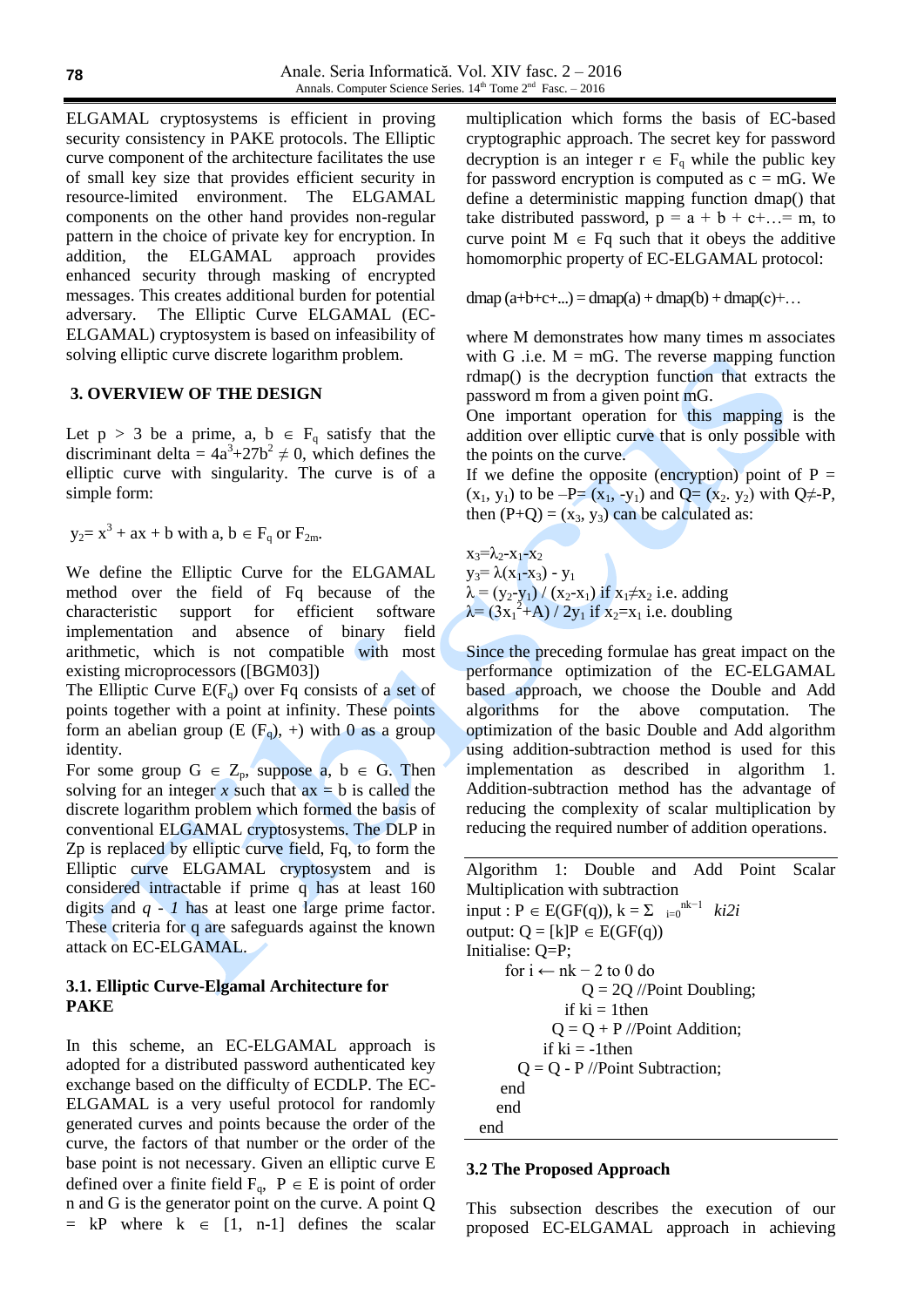ELGAMAL cryptosystems is efficient in proving security consistency in PAKE protocols. The Elliptic curve component of the architecture facilitates the use of small key size that provides efficient security in resource-limited environment. The ELGAMAL components on the other hand provides non-regular pattern in the choice of private key for encryption. In addition, the ELGAMAL approach provides enhanced security through masking of encrypted messages. This creates additional burden for potential adversary. The Elliptic Curve ELGAMAL (EC-ELGAMAL) cryptosystem is based on infeasibility of solving elliptic curve discrete logarithm problem.

#### **3. OVERVIEW OF THE DESIGN**

Let  $p > 3$  be a prime, a,  $b \in F_q$  satisfy that the discriminant delta =  $4a^3+27b^2 \neq 0$ , which defines the elliptic curve with singularity. The curve is of a simple form:

 $y_2 = x^3 + ax + b$  with  $a, b \in F_q$  or  $F_{2m}$ .

We define the Elliptic Curve for the ELGAMAL method over the field of Fq because of the characteristic support for efficient software implementation and absence of binary field arithmetic, which is not compatible with most existing microprocessors ([BGM03])

The Elliptic Curve  $E(F_q)$  over Fq consists of a set of points together with a point at infinity. These points form an abelian group (E  $(F_q)$ , +) with 0 as a group identity.

For some group  $G \in Z_p$ , suppose a,  $b \in G$ . Then solving for an integer  $x$  such that  $ax = b$  is called the discrete logarithm problem which formed the basis of conventional ELGAMAL cryptosystems. The DLP in Zp is replaced by elliptic curve field, Fq, to form the Elliptic curve ELGAMAL cryptosystem and is considered intractable if prime q has at least 160 digits and *q - 1* has at least one large prime factor. These criteria for q are safeguards against the known attack on EC-ELGAMAL.

# **3.1. Elliptic Curve-Elgamal Architecture for PAKE**

In this scheme, an EC-ELGAMAL approach is adopted for a distributed password authenticated key exchange based on the difficulty of ECDLP. The EC-ELGAMAL is a very useful protocol for randomly generated curves and points because the order of the curve, the factors of that number or the order of the base point is not necessary. Given an elliptic curve E defined over a finite field  $F_q, \ P \in E$  is point of order n and G is the generator point on the curve. A point Q  $=$  kP where  $k \in [1, n-1]$  defines the scalar

multiplication which forms the basis of EC-based cryptographic approach. The secret key for password decryption is an integer  $r \in F_q$  while the public key for password encryption is computed as  $c = mG$ . We define a deterministic mapping function dmap() that take distributed password,  $p = a + b + c + ... = m$ , to curve point  $M \in Fq$  such that it obeys the additive homomorphic property of EC-ELGAMAL protocol:

dmap  $(a+b+c+...)=dmap(a)+dmap(b)+dmap(c)+...$ 

where M demonstrates how many times m associates with G .i.e.  $M = mG$ . The reverse mapping function rdmap() is the decryption function that extracts the password m from a given point mG.

One important operation for this mapping is the addition over elliptic curve that is only possible with the points on the curve.

If we define the opposite (encryption) point of  $P =$  $(x_1, y_1)$  to be  $-P=(x_1, -y_1)$  and  $Q=(x_2, y_2)$  with  $Q\neq -P$ , then  $(P+Q) = (x_3, y_3)$  can be calculated as:

 $x_3 = \lambda_2 - x_1 - x_2$  $y_3 = \lambda (x_1 - x_3) - y_1$  $\lambda = (y_2 - y_1) / (x_2 - x_1)$  if  $x_1 \neq x_2$  i.e. adding  $\lambda = (3x_1^2 + A)/2y_1$  if  $x_2 = x_1$  i.e. doubling

Since the preceding formulae has great impact on the performance optimization of the EC-ELGAMAL based approach, we choose the Double and Add algorithms for the above computation. The optimization of the basic Double and Add algorithm using addition-subtraction method is used for this implementation as described in algorithm 1. Addition-subtraction method has the advantage of reducing the complexity of scalar multiplication by reducing the required number of addition operations.

Algorithm 1: Double and Add Point Scalar Multiplication with subtraction input :  $P \in E(GF(q)), k = \sum_{i=0}^{nk-1} ki2i$ output:  $Q = [k]P \in E(GF(q))$ Initialise: Q=P; for  $i \leftarrow nk - 2$  to 0 do  $Q = 2Q$  //Point Doubling; if  $ki = 1$ then  $Q = Q + P$  //Point Addition; if  $ki = -1$ then  $Q = Q - P$  //Point Subtraction; end end end

#### **3.2 The Proposed Approach**

This subsection describes the execution of our proposed EC-ELGAMAL approach in achieving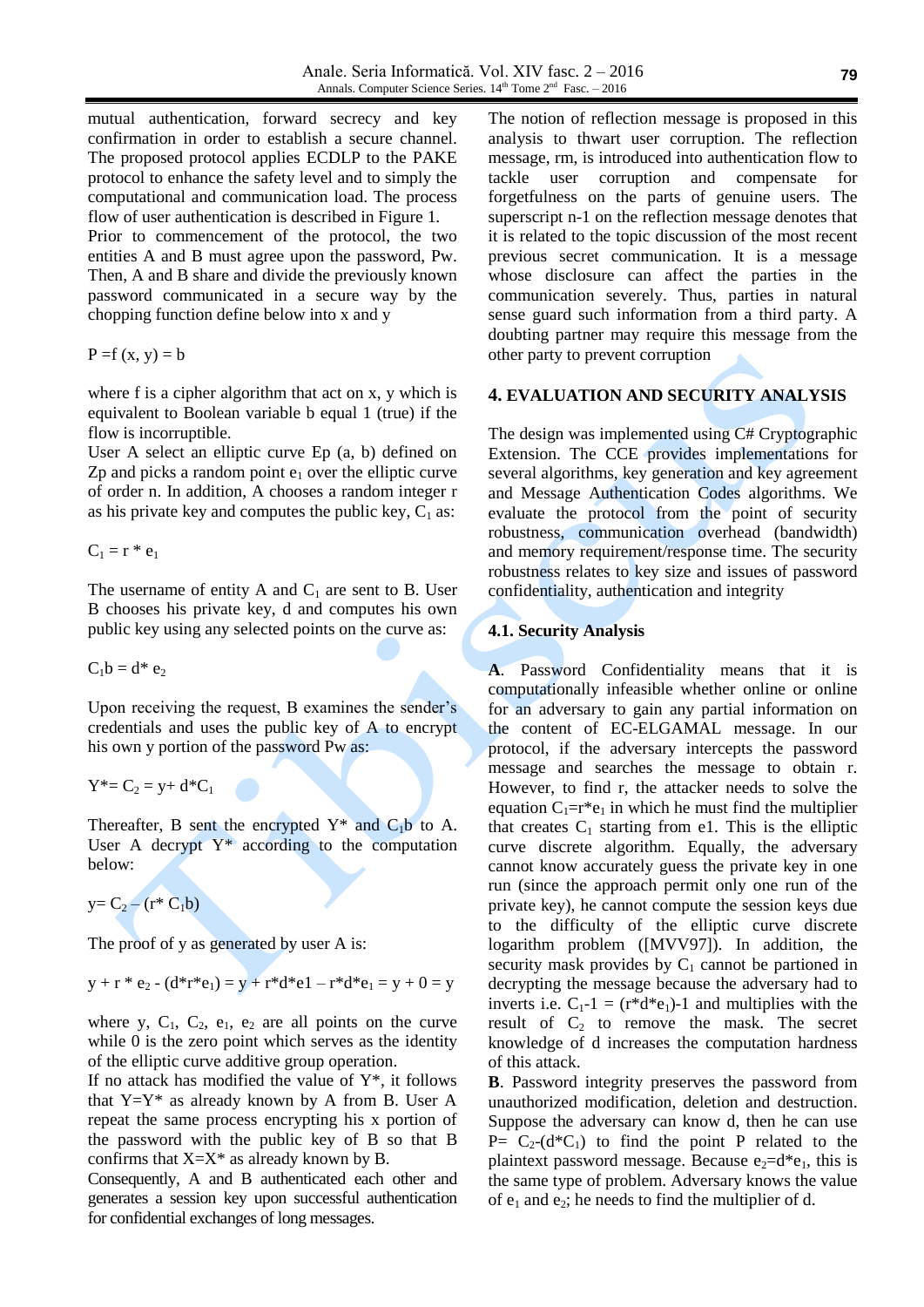mutual authentication, forward secrecy and key confirmation in order to establish a secure channel. The proposed protocol applies ECDLP to the PAKE protocol to enhance the safety level and to simply the computational and communication load. The process flow of user authentication is described in Figure 1. Prior to commencement of the protocol, the two entities A and B must agree upon the password, Pw. Then, A and B share and divide the previously known password communicated in a secure way by the chopping function define below into x and y

$$
P = f(x, y) = b
$$

where f is a cipher algorithm that act on x, y which is equivalent to Boolean variable b equal 1 (true) if the flow is incorruptible.

User A select an elliptic curve Ep (a, b) defined on  $Zp$  and picks a random point  $e_1$  over the elliptic curve of order n. In addition, A chooses a random integer r as his private key and computes the public key,  $C_1$  as:

$$
C_1 = r * e_1
$$

The username of entity A and  $C_1$  are sent to B. User B chooses his private key, d and computes his own public key using any selected points on the curve as:

 $C_1b = d^* e_2$ 

Upon receiving the request, B examines the sender's credentials and uses the public key of A to encrypt his own y portion of the password Pw as:

 $Y^* = C_2 = y + d^*C_1$ 

Thereafter, B sent the encrypted  $Y^*$  and  $C_1b$  to A. User A decrypt  $Y^*$  according to the computation below:

 $y=C_2 - (r^* C_1 b)$ 

The proof of y as generated by user A is:

$$
y + r * e_2 - (d*r * e_1) = y + r * d * e_1 - r * d * e_1 = y + 0 = y
$$

where y,  $C_1$ ,  $C_2$ ,  $e_1$ ,  $e_2$  are all points on the curve while 0 is the zero point which serves as the identity of the elliptic curve additive group operation.

If no attack has modified the value of  $Y^*$ , it follows that  $Y=Y^*$  as already known by A from B. User A repeat the same process encrypting his x portion of the password with the public key of B so that B confirms that  $X=X^*$  as already known by B.

Consequently, A and B authenticated each other and generates a session key upon successful authentication for confidential exchanges of long messages.

The notion of reflection message is proposed in this analysis to thwart user corruption. The reflection message, rm, is introduced into authentication flow to tackle user corruption and compensate for forgetfulness on the parts of genuine users. The superscript n-1 on the reflection message denotes that it is related to the topic discussion of the most recent previous secret communication. It is a message whose disclosure can affect the parties in the communication severely. Thus, parties in natural sense guard such information from a third party. A doubting partner may require this message from the other party to prevent corruption

#### **4. EVALUATION AND SECURITY ANALYSIS**

The design was implemented using C# Cryptographic Extension. The CCE provides implementations for several algorithms, key generation and key agreement and Message Authentication Codes algorithms. We evaluate the protocol from the point of security robustness, communication overhead (bandwidth) and memory requirement/response time. The security robustness relates to key size and issues of password confidentiality, authentication and integrity

## **4.1. Security Analysis**

**A**. Password Confidentiality means that it is computationally infeasible whether online or online for an adversary to gain any partial information on the content of EC-ELGAMAL message. In our protocol, if the adversary intercepts the password message and searches the message to obtain r. However, to find r, the attacker needs to solve the equation  $C_1=r^*e_1$  in which he must find the multiplier that creates  $C_1$  starting from e1. This is the elliptic curve discrete algorithm. Equally, the adversary cannot know accurately guess the private key in one run (since the approach permit only one run of the private key), he cannot compute the session keys due to the difficulty of the elliptic curve discrete logarithm problem ([MVV97]). In addition, the security mask provides by  $C_1$  cannot be partioned in decrypting the message because the adversary had to inverts i.e.  $C_1-1 = (r^*d^*e_1)-1$  and multiplies with the result of  $C_2$  to remove the mask. The secret knowledge of d increases the computation hardness of this attack.

**B**. Password integrity preserves the password from unauthorized modification, deletion and destruction. Suppose the adversary can know d, then he can use  $P= C_2-(d*C_1)$  to find the point P related to the plaintext password message. Because  $e_2 = d^*e_1$ , this is the same type of problem. Adversary knows the value of  $e_1$  and  $e_2$ ; he needs to find the multiplier of d.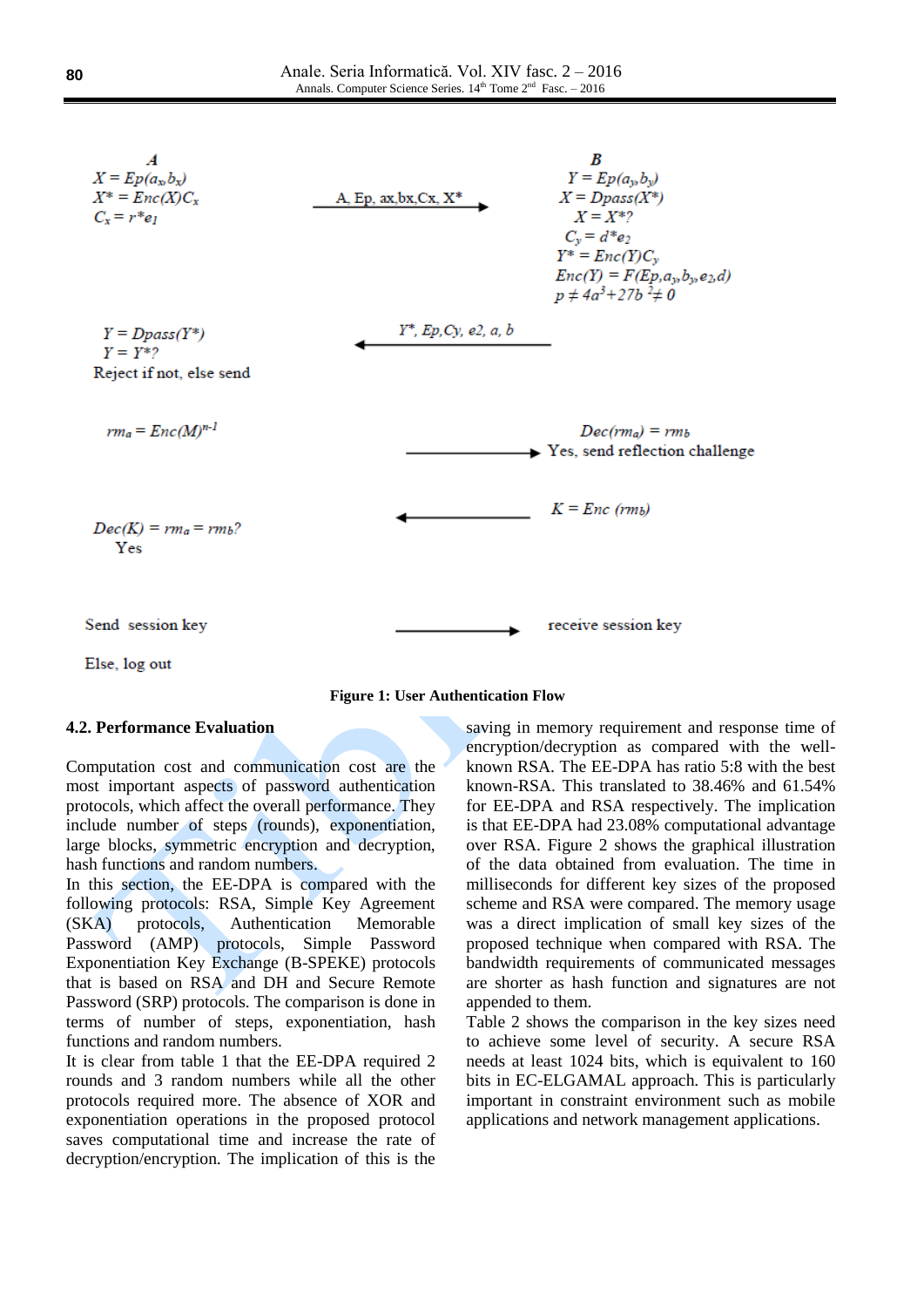

Else, log out



## **4.2. Performance Evaluation**

Computation cost and communication cost are the most important aspects of password authentication protocols, which affect the overall performance. They include number of steps (rounds), exponentiation, large blocks, symmetric encryption and decryption, hash functions and random numbers.

In this section, the EE-DPA is compared with the following protocols: RSA, Simple Key Agreement (SKA) protocols, Authentication Memorable Password (AMP) protocols, Simple Password Exponentiation Key Exchange (B-SPEKE) protocols that is based on RSA and DH and Secure Remote Password (SRP) protocols. The comparison is done in terms of number of steps, exponentiation, hash functions and random numbers.

It is clear from table 1 that the EE-DPA required 2 rounds and 3 random numbers while all the other protocols required more. The absence of XOR and exponentiation operations in the proposed protocol saves computational time and increase the rate of decryption/encryption. The implication of this is the

saving in memory requirement and response time of encryption/decryption as compared with the wellknown RSA. The EE-DPA has ratio 5:8 with the best known-RSA. This translated to 38.46% and 61.54% for EE-DPA and RSA respectively. The implication is that EE-DPA had 23.08% computational advantage over RSA. Figure 2 shows the graphical illustration of the data obtained from evaluation. The time in milliseconds for different key sizes of the proposed scheme and RSA were compared. The memory usage was a direct implication of small key sizes of the proposed technique when compared with RSA. The bandwidth requirements of communicated messages are shorter as hash function and signatures are not appended to them.

Table 2 shows the comparison in the key sizes need to achieve some level of security. A secure RSA needs at least 1024 bits, which is equivalent to 160 bits in EC-ELGAMAL approach. This is particularly important in constraint environment such as mobile applications and network management applications.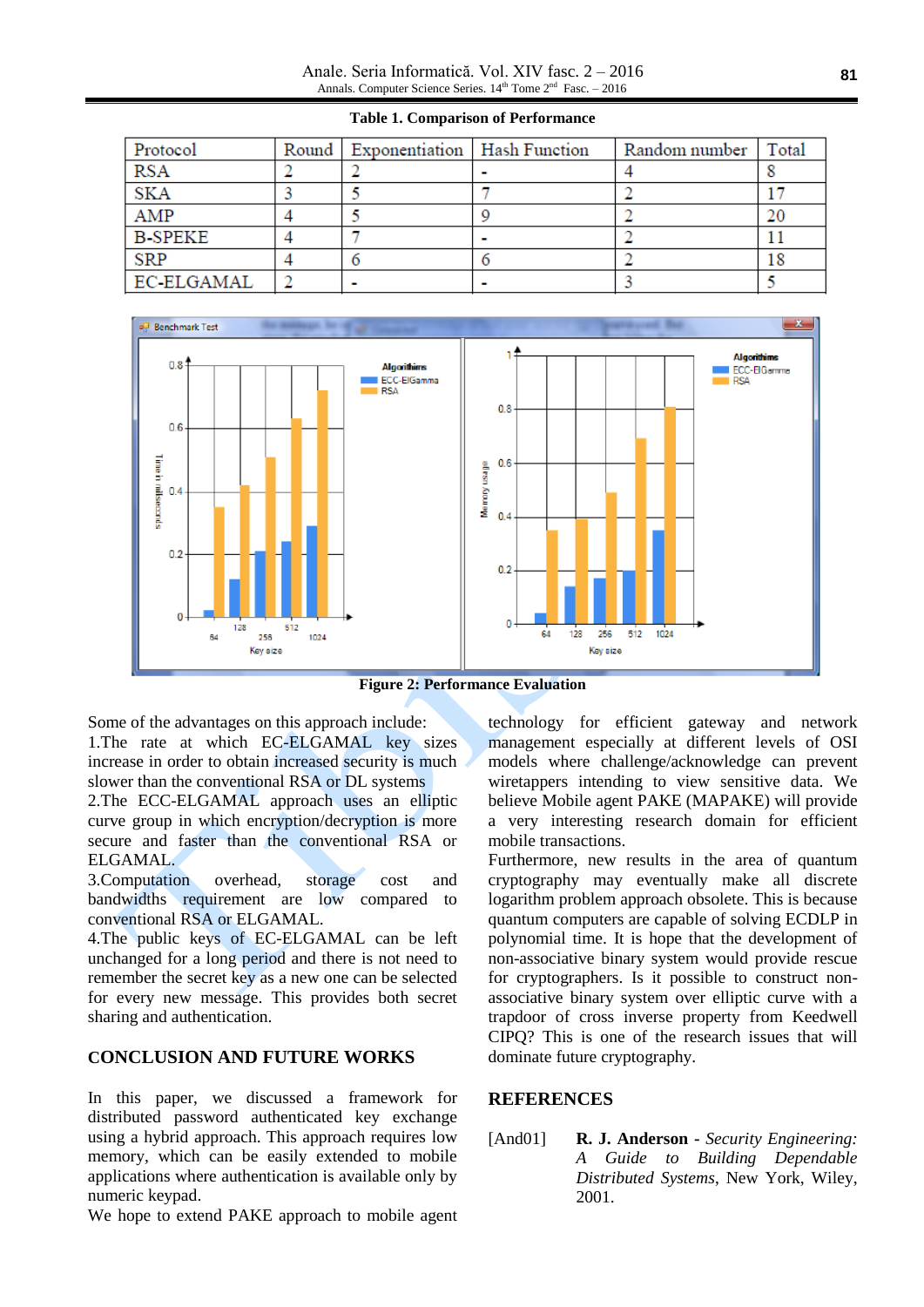Anale. Seria Informatică. Vol. XIV fasc. 2 – 2016 Annals. Computer Science Series.  $14<sup>th</sup>$  Tome  $2<sup>nd</sup>$  Fasc.  $-2016$ 

| Protocol       | Round   Exponentiation   Hash Function | Random number   Total |  |
|----------------|----------------------------------------|-----------------------|--|
| <b>RSA</b>     |                                        |                       |  |
| <b>SKA</b>     |                                        |                       |  |
| AMP            |                                        |                       |  |
| <b>B-SPEKE</b> |                                        |                       |  |
| <b>SRP</b>     |                                        |                       |  |
| EC-ELGAMAL     | -                                      |                       |  |

**Table 1. Comparison of Performance**



**Figure 2: Performance Evaluation**

Some of the advantages on this approach include: 1.The rate at which EC-ELGAMAL key sizes increase in order to obtain increased security is much slower than the conventional RSA or DL systems

2.The ECC-ELGAMAL approach uses an elliptic curve group in which encryption/decryption is more secure and faster than the conventional RSA or ELGAMAL.

3.Computation overhead, storage cost and bandwidths requirement are low compared to conventional RSA or ELGAMAL.

4.The public keys of EC-ELGAMAL can be left unchanged for a long period and there is not need to remember the secret key as a new one can be selected for every new message. This provides both secret sharing and authentication.

# **CONCLUSION AND FUTURE WORKS**

In this paper, we discussed a framework for distributed password authenticated key exchange using a hybrid approach. This approach requires low memory, which can be easily extended to mobile applications where authentication is available only by numeric keypad.

We hope to extend PAKE approach to mobile agent

technology for efficient gateway and network management especially at different levels of OSI models where challenge/acknowledge can prevent wiretappers intending to view sensitive data. We believe Mobile agent PAKE (MAPAKE) will provide a very interesting research domain for efficient mobile transactions.

Furthermore, new results in the area of quantum cryptography may eventually make all discrete logarithm problem approach obsolete. This is because quantum computers are capable of solving ECDLP in polynomial time. It is hope that the development of non-associative binary system would provide rescue for cryptographers. Is it possible to construct nonassociative binary system over elliptic curve with a trapdoor of cross inverse property from Keedwell CIPQ? This is one of the research issues that will dominate future cryptography.

#### **REFERENCES**

[And01] **R. J. Anderson -** *Security Engineering: A Guide to Building Dependable Distributed Systems*, New York, Wiley, 2001.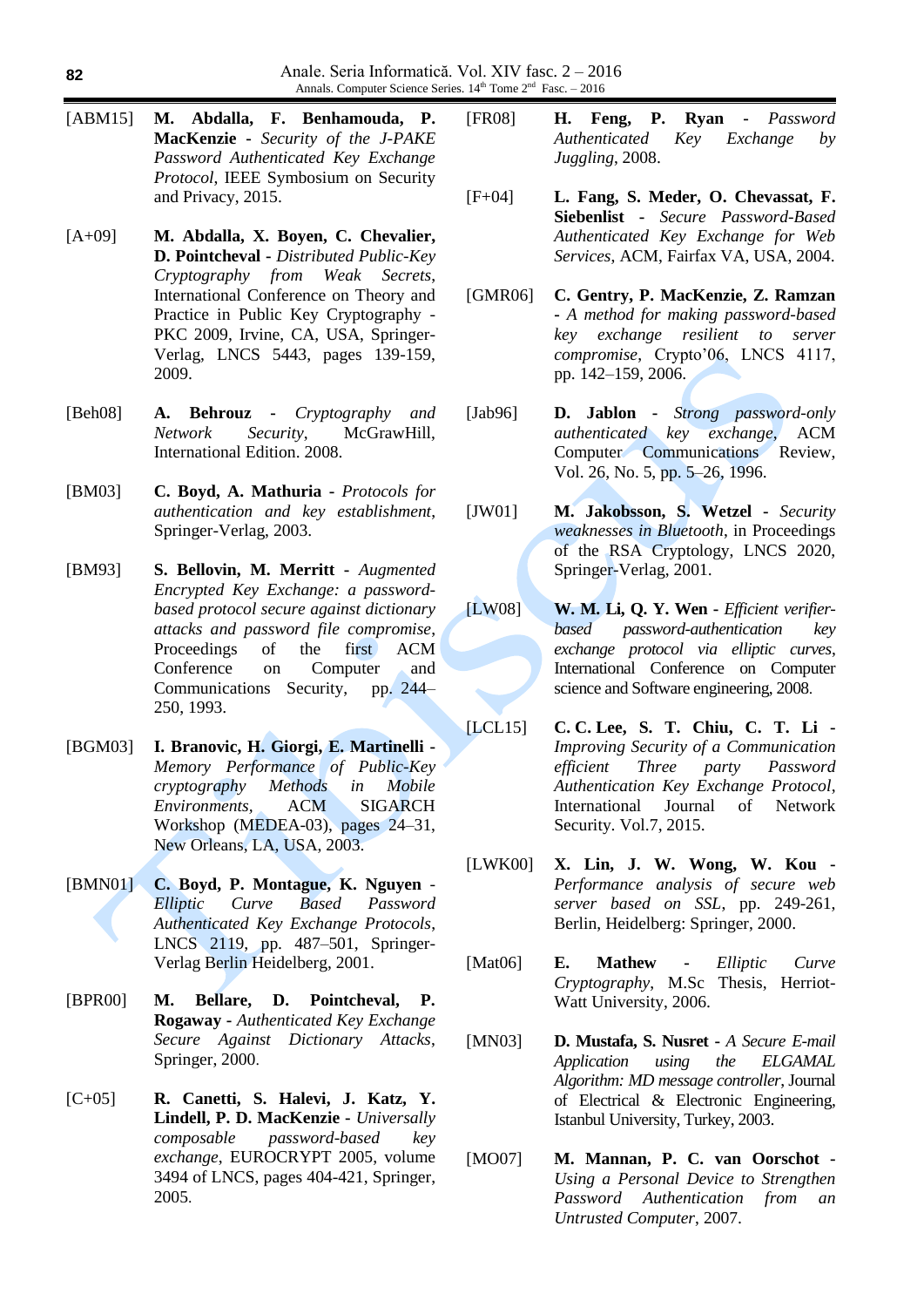- [ABM15] **M. Abdalla, F. Benhamouda, P. MacKenzie -** *Security of the J-PAKE Password Authenticated Key Exchange Protocol*, IEEE Symbosium on Security and Privacy, 2015.
- [A+09] **M. Abdalla, X. Boyen, C. Chevalier, D. Pointcheval -** *Distributed Public-Key Cryptography from Weak Secrets*, International Conference on Theory and Practice in Public Key Cryptography - PKC 2009, Irvine, CA, USA, Springer-Verlag, LNCS 5443, pages 139-159, 2009.
- [Beh08] **A. Behrouz -** *Cryptography and Network Security*, McGrawHill, International Edition. 2008.
- [BM03] **C. Boyd, A. Mathuria -** *Protocols for authentication and key establishment*, Springer-Verlag, 2003.
- [BM93] **S. Bellovin, M. Merritt -** *Augmented Encrypted Key Exchange: a passwordbased protocol secure against dictionary attacks and password file compromise*, Proceedings of the first ACM Conference on Computer and Communications Security, pp. 244– 250, 1993.
- [BGM03] **I. Branovic, H. Giorgi, E. Martinelli -** *Memory Performance of Public-Key cryptography Methods in Mobile Environments,* ACM SIGARCH Workshop (MEDEA-03), pages 24–31, New Orleans, LA, USA, 2003.
- [BMN01] **C. Boyd, P. Montague, K. Nguyen** *Elliptic Curve Based Password Authenticated Key Exchange Protocols*, LNCS 2119, pp. 487–501, Springer-Verlag Berlin Heidelberg, 2001.
- [BPR00] **M. Bellare, D. Pointcheval, P. Rogaway -** *Authenticated Key Exchange Secure Against Dictionary Attacks*, Springer, 2000.
- [C+05] **R. Canetti, S. Halevi, J. Katz, Y. Lindell, P. D. MacKenzie -** *Universally composable password-based key exchange*, EUROCRYPT 2005, volume 3494 of LNCS, pages 404-421, Springer, 2005.
- [FR08] **H. Feng, P. Ryan -** *Password Authenticated Key Exchange by Juggling*, 2008.
- [F+04] **L. Fang, S. Meder, O. Chevassat, F. Siebenlist -** *Secure Password-Based Authenticated Key Exchange for Web Services*, ACM, Fairfax VA, USA, 2004.
- [GMR06] **C. Gentry, P. MacKenzie, Z. Ramzan -** *A method for making password-based key exchange resilient to server compromise*, Crypto'06, LNCS 4117, pp. 142–159, 2006.
- [Jab96] **D. Jablon -** *Strong password-only authenticated key exchange*, ACM Computer Communications Review, Vol. 26, No. 5, pp. 5–26, 1996.
- [JW01] **M. Jakobsson, S. Wetzel -** *Security weaknesses in Bluetooth*, in Proceedings of the RSA Cryptology, LNCS 2020, Springer-Verlag, 2001.
- [LW08] **W. M. Li, Q. Y. Wen -** *Efficient verifierbased password-authentication key exchange protocol via elliptic curves*, International Conference on Computer science and Software engineering, 2008.
- [LCL15] **C. C. Lee, S. T. Chiu, C. T. Li -** *Improving Security of a Communication efficient Three party Password Authentication Key Exchange Protocol*, International Journal of Network Security. Vol.7, 2015.
- [LWK00] **X. Lin, J. W. Wong, W. Kou -** *Performance analysis of secure web server based on SSL*, pp. 249-261, Berlin, Heidelberg: Springer, 2000.
- [Mat06] **E. Mathew -** *Elliptic Curve Cryptography*, M.Sc Thesis, Herriot-Watt University, 2006.
- [MN03] **D. Mustafa, S. Nusret -** *A Secure E-mail Application using the ELGAMAL Algorithm: MD message controller*, Journal of Electrical & Electronic Engineering, Istanbul University, Turkey, 2003.
- [MO07] **M. Mannan, P. C. van Oorschot -** *Using a Personal Device to Strengthen Password Authentication from an Untrusted Computer*, 2007.

**82**